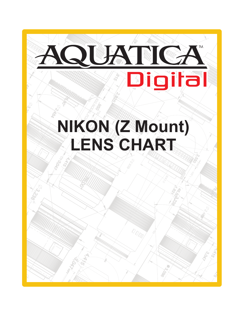

# 72° 1,750  $OM$   $Z$  MOL **LENS CHART**3.835 NO **NIKON (Z Mount)**

029.9

.<br>000

8.190

14°

135°

r369

Sol.5.